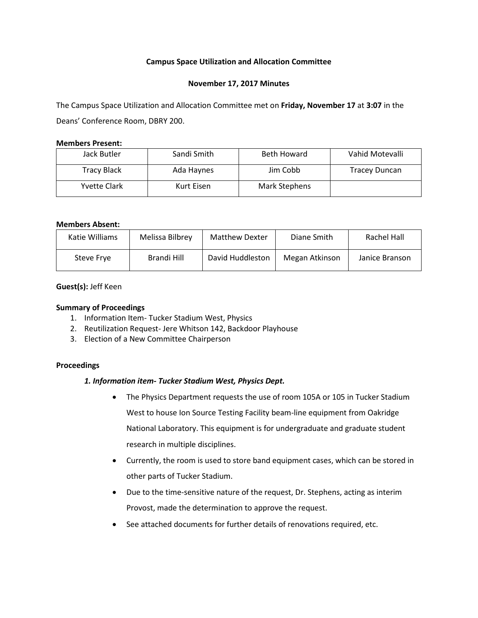## **Campus Space Utilization and Allocation Committee**

## **November 17, 2017 Minutes**

The Campus Space Utilization and Allocation Committee met on **Friday, November 17** at **3:07** in the Deans' Conference Room, DBRY 200.

## **Members Present:**

| Jack Butler  | Sandi Smith | <b>Beth Howard</b> | Vahid Motevalli      |
|--------------|-------------|--------------------|----------------------|
| Tracy Black  | Ada Haynes  | Jim Cobb           | <b>Tracey Duncan</b> |
| Yvette Clark | Kurt Eisen  | Mark Stephens      |                      |

## **Members Absent:**

| Katie Williams | Melissa Bilbrey | Matthew Dexter   | Diane Smith    | Rachel Hall    |
|----------------|-----------------|------------------|----------------|----------------|
| Steve Frye     | Brandi Hill     | David Huddleston | Megan Atkinson | Janice Branson |

## **Guest(s):** Jeff Keen

# **Summary of Proceedings**

- 1. Information Item- Tucker Stadium West, Physics
- 2. Reutilization Request- Jere Whitson 142, Backdoor Playhouse
- 3. Election of a New Committee Chairperson

## **Proceedings**

## *1. Information item- Tucker Stadium West, Physics Dept.*

- The Physics Department requests the use of room 105A or 105 in Tucker Stadium West to house Ion Source Testing Facility beam-line equipment from Oakridge National Laboratory. This equipment is for undergraduate and graduate student research in multiple disciplines.
- Currently, the room is used to store band equipment cases, which can be stored in other parts of Tucker Stadium.
- Due to the time-sensitive nature of the request, Dr. Stephens, acting as interim Provost, made the determination to approve the request.
- See attached documents for further details of renovations required, etc.